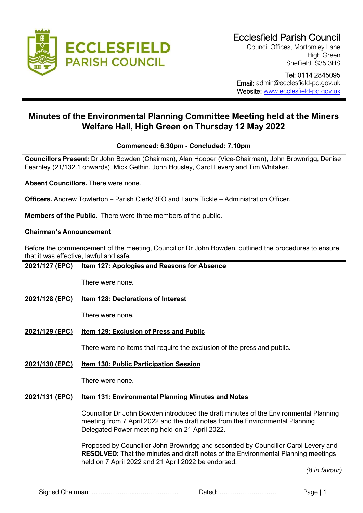

Council Offices, Mortomley Lane High Green Sheffield, S35 3HS

 Tel: 0114 2845095 Email: admin@ecclesfield-pc.gov.uk Website: [www.ecclesfield-pc.gov.uk](http://www.ecclesfield-pc.gov.uk/)

# **Minutes of the Environmental Planning Committee Meeting held at the Miners Welfare Hall, High Green on Thursday 12 May 2022**

## **Commenced: 6.30pm - Concluded: 7.10pm**

**Councillors Present:** Dr John Bowden (Chairman), Alan Hooper (Vice-Chairman), John Brownrigg, Denise Fearnley (21/132.1 onwards), Mick Gethin, John Housley, Carol Levery and Tim Whitaker.

**Absent Councillors.** There were none.

**Officers.** Andrew Towlerton – Parish Clerk/RFO and Laura Tickle – Administration Officer.

**Members of the Public.** There were three members of the public.

### **Chairman's Announcement**

Before the commencement of the meeting, Councillor Dr John Bowden, outlined the procedures to ensure that it was effective, lawful and safe.

| 2021/127 (EPC) | <b>Item 127: Apologies and Reasons for Absence</b>                                                                                                                                                                            |
|----------------|-------------------------------------------------------------------------------------------------------------------------------------------------------------------------------------------------------------------------------|
|                | There were none.                                                                                                                                                                                                              |
| 2021/128 (EPC) | <b>Item 128: Declarations of Interest</b>                                                                                                                                                                                     |
|                | There were none.                                                                                                                                                                                                              |
| 2021/129 (EPC) | Item 129: Exclusion of Press and Public                                                                                                                                                                                       |
|                | There were no items that require the exclusion of the press and public.                                                                                                                                                       |
| 2021/130 (EPC) | <b>Item 130: Public Participation Session</b>                                                                                                                                                                                 |
|                | There were none.                                                                                                                                                                                                              |
| 2021/131 (EPC) | <b>Item 131: Environmental Planning Minutes and Notes</b>                                                                                                                                                                     |
|                | Councillor Dr John Bowden introduced the draft minutes of the Environmental Planning<br>meeting from 7 April 2022 and the draft notes from the Environmental Planning<br>Delegated Power meeting held on 21 April 2022.       |
|                | Proposed by Councillor John Brownrigg and seconded by Councillor Carol Levery and<br>RESOLVED: That the minutes and draft notes of the Environmental Planning meetings<br>held on 7 April 2022 and 21 April 2022 be endorsed. |
|                | (8 in favour)                                                                                                                                                                                                                 |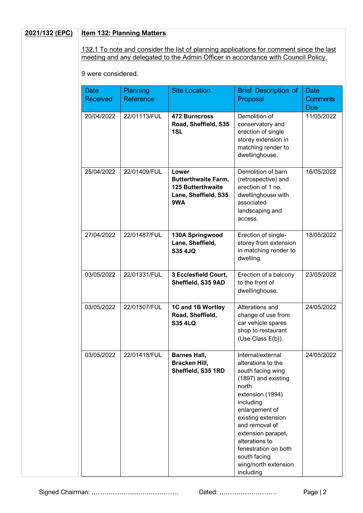#### **2021/132 (EPC) Item 132: Planning Matters**

132.1 To note and consider the list of planning applications for comment since the last meeting and any delegated to the Admin Officer in accordance with Council Policy.

9 were considered.

| <b>Date</b><br><b>Received</b> | <b>Planning</b><br>Reference | <b>Site Location</b>                                                                           | <b>Brief Description of</b><br>Proposal                                                                                                                                                                                                                                                                      | <b>Date</b><br><b>Comments</b><br><b>Due</b> |
|--------------------------------|------------------------------|------------------------------------------------------------------------------------------------|--------------------------------------------------------------------------------------------------------------------------------------------------------------------------------------------------------------------------------------------------------------------------------------------------------------|----------------------------------------------|
| 20/04/2022                     | 22/01113/FUL                 | <b>472 Burncross</b><br>Road, Sheffield, S35<br>1SL                                            | Demolition of<br>conservatory and<br>erection of single<br>storey extension in<br>matching render to<br>dwellinghouse.                                                                                                                                                                                       | 11/05/2022                                   |
| 25/04/2022                     | 22/01409/FUL                 | Lower<br><b>Butterthwaite Farm,</b><br><b>125 Butterthwaite</b><br>Lane, Sheffield, S35<br>9WA | Demolition of barn<br>(retrospective) and<br>erection of 1 no.<br>dwellinghouse with<br>associated<br>landscaping and<br>access.                                                                                                                                                                             | 16/05/2022                                   |
| 27/04/2022                     | 22/01487/FUL                 | 130A Springwood<br>Lane, Sheffield,<br><b>S35 4JQ</b>                                          | Erection of single-<br>storey from extension<br>in matching render to<br>dwelling.                                                                                                                                                                                                                           | 18/05/2022                                   |
| 03/05/2022                     | 22/01331/FUL                 | 3 Ecclesfield Court,<br>Sheffield, S35 9AD                                                     | Erection of a balcony<br>to the front of<br>dwellinghouse.                                                                                                                                                                                                                                                   | 23/05/2022                                   |
| 03/05/2022                     | 22/01507/FUL                 | 1C and 1B Wortley<br>Road, Sheffield,<br><b>S35 4LQ</b>                                        | Alterations and<br>change of use from<br>car vehicle spares<br>shop to restaurant<br>(Use Class E(b)).                                                                                                                                                                                                       | 24/05/2022                                   |
| 03/05/2022                     | 22/01418/FUL                 | <b>Barnes Hall,</b><br><b>Bracken Hill,</b><br>Sheffield, S35 1RD                              | Internal/external<br>alterations to the<br>south facing wing<br>(1897) and existing<br>north<br>extension (1994)<br>including<br>enlargement of<br>existing extension<br>and removal of<br>extension parapet,<br>alterations to<br>fenestration on both<br>south facing<br>wing/north extension<br>including | 24/05/2022                                   |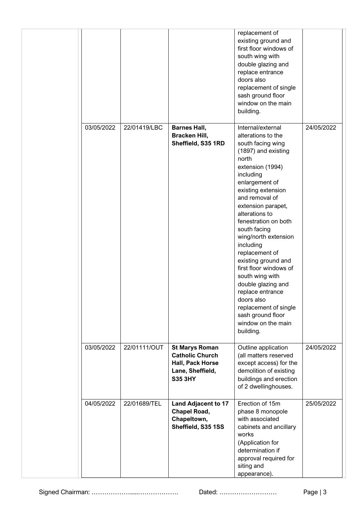|            |              |                                                                                                           | replacement of<br>existing ground and<br>first floor windows of<br>south wing with<br>double glazing and<br>replace entrance<br>doors also<br>replacement of single<br>sash ground floor<br>window on the main<br>building.                                                                                                                                                                                                                                                                                                                 |            |
|------------|--------------|-----------------------------------------------------------------------------------------------------------|---------------------------------------------------------------------------------------------------------------------------------------------------------------------------------------------------------------------------------------------------------------------------------------------------------------------------------------------------------------------------------------------------------------------------------------------------------------------------------------------------------------------------------------------|------------|
| 03/05/2022 | 22/01419/LBC | <b>Barnes Hall,</b><br>Bracken Hill,<br>Sheffield, S35 1RD                                                | Internal/external<br>alterations to the<br>south facing wing<br>(1897) and existing<br>north<br>extension (1994)<br>including<br>enlargement of<br>existing extension<br>and removal of<br>extension parapet,<br>alterations to<br>fenestration on both<br>south facing<br>wing/north extension<br>including<br>replacement of<br>existing ground and<br>first floor windows of<br>south wing with<br>double glazing and<br>replace entrance<br>doors also<br>replacement of single<br>sash ground floor<br>window on the main<br>building. | 24/05/2022 |
| 03/05/2022 | 22/01111/OUT | <b>St Marys Roman</b><br><b>Catholic Church</b><br>Hall, Pack Horse<br>Lane, Sheffield,<br><b>S35 3HY</b> | Outline application<br>(all matters reserved<br>except access) for the<br>demolition of existing<br>buildings and erection<br>of 2 dwellinghouses.                                                                                                                                                                                                                                                                                                                                                                                          | 24/05/2022 |
| 04/05/2022 | 22/01689/TEL | <b>Land Adjacent to 17</b><br><b>Chapel Road,</b><br>Chapeltown,<br>Sheffield, S35 1SS                    | Erection of 15m<br>phase 8 monopole<br>with associated<br>cabinets and ancillary<br>works<br>(Application for<br>determination if<br>approval required for<br>siting and<br>appearance).                                                                                                                                                                                                                                                                                                                                                    | 25/05/2022 |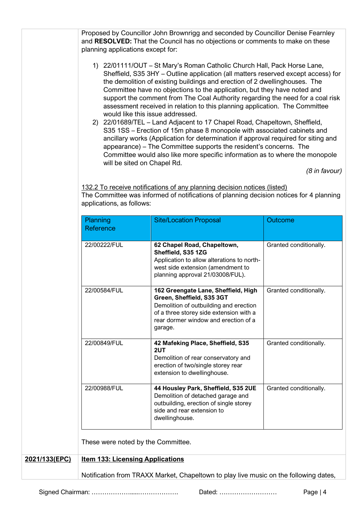Proposed by Councillor John Brownrigg and seconded by Councillor Denise Fearnley and **RESOLVED:** That the Council has no objections or comments to make on these planning applications except for:

- 1) 22/01111/OUT St Mary's Roman Catholic Church Hall, Pack Horse Lane, Sheffield, S35 3HY – Outline application (all matters reserved except access) for the demolition of existing buildings and erection of 2 dwellinghouses. The Committee have no objections to the application, but they have noted and support the comment from The Coal Authority regarding the need for a coal risk assessment received in relation to this planning application. The Committee would like this issue addressed.
- 2) 22/01689/TEL Land Adjacent to 17 Chapel Road, Chapeltown, Sheffield, S35 1SS – Erection of 15m phase 8 monopole with associated cabinets and ancillary works (Application for determination if approval required for siting and appearance) – The Committee supports the resident's concerns. The Committee would also like more specific information as to where the monopole will be sited on Chapel Rd.

 *(8 in favour)*

132.2 To receive notifications of any planning decision notices (listed) The Committee was informed of notifications of planning decision notices for 4 planning applications, as follows:

|               | Planning<br>Reference                   | <b>Site/Location Proposal</b>                                                                                                                                                                            | Outcome                |
|---------------|-----------------------------------------|----------------------------------------------------------------------------------------------------------------------------------------------------------------------------------------------------------|------------------------|
|               | 22/00222/FUL                            | 62 Chapel Road, Chapeltown,<br>Sheffield, S35 1ZG<br>Application to allow alterations to north-<br>west side extension (amendment to<br>planning approval 21/03008/FUL).                                 | Granted conditionally. |
|               | 22/00584/FUL                            | 162 Greengate Lane, Sheffield, High<br>Green, Sheffield, S35 3GT<br>Demolition of outbuilding and erection<br>of a three storey side extension with a<br>rear dormer window and erection of a<br>garage. | Granted conditionally. |
|               | 22/00849/FUL                            | 42 Mafeking Place, Sheffield, S35<br>2UT<br>Demolition of rear conservatory and<br>erection of two/single storey rear<br>extension to dwellinghouse.                                                     | Granted conditionally. |
|               | 22/00988/FUL                            | 44 Housley Park, Sheffield, S35 2UE<br>Demolition of detached garage and<br>outbuilding, erection of single storey<br>side and rear extension to<br>dwellinghouse.                                       | Granted conditionally. |
|               | These were noted by the Committee.      |                                                                                                                                                                                                          |                        |
| 2021/133(EPC) | <b>Item 133: Licensing Applications</b> |                                                                                                                                                                                                          |                        |
|               |                                         | Notification from TRAXX Market, Chapeltown to play live music on the following dates,                                                                                                                    |                        |